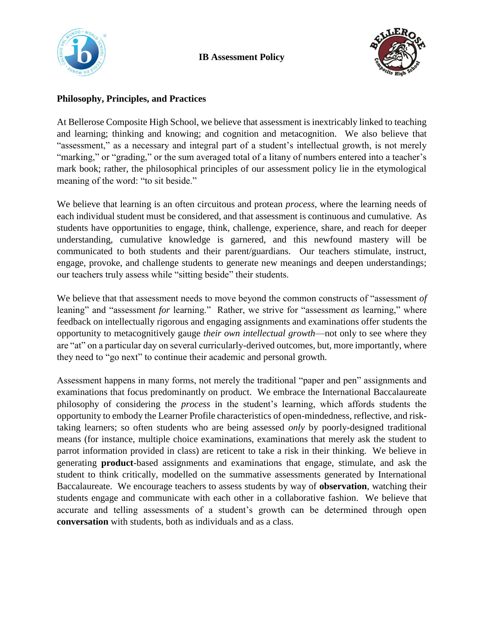



## **Philosophy, Principles, and Practices**

At Bellerose Composite High School, we believe that assessment is inextricably linked to teaching and learning; thinking and knowing; and cognition and metacognition. We also believe that "assessment," as a necessary and integral part of a student's intellectual growth, is not merely "marking," or "grading," or the sum averaged total of a litany of numbers entered into a teacher's mark book; rather, the philosophical principles of our assessment policy lie in the etymological meaning of the word: "to sit beside."

We believe that learning is an often circuitous and protean *process*, where the learning needs of each individual student must be considered, and that assessment is continuous and cumulative. As students have opportunities to engage, think, challenge, experience, share, and reach for deeper understanding, cumulative knowledge is garnered, and this newfound mastery will be communicated to both students and their parent/guardians. Our teachers stimulate, instruct, engage, provoke, and challenge students to generate new meanings and deepen understandings; our teachers truly assess while "sitting beside" their students.

We believe that that assessment needs to move beyond the common constructs of "assessment *of* leaning" and "assessment *for* learning." Rather, we strive for "assessment *as* learning," where feedback on intellectually rigorous and engaging assignments and examinations offer students the opportunity to metacognitively gauge *their own intellectual growth*—not only to see where they are "at" on a particular day on several curricularly-derived outcomes, but, more importantly, where they need to "go next" to continue their academic and personal growth.

Assessment happens in many forms, not merely the traditional "paper and pen" assignments and examinations that focus predominantly on product. We embrace the International Baccalaureate philosophy of considering the *process* in the student's learning, which affords students the opportunity to embody the Learner Profile characteristics of open-mindedness, reflective, and risktaking learners; so often students who are being assessed *only* by poorly-designed traditional means (for instance, multiple choice examinations, examinations that merely ask the student to parrot information provided in class) are reticent to take a risk in their thinking. We believe in generating **product**-based assignments and examinations that engage, stimulate, and ask the student to think critically, modelled on the summative assessments generated by International Baccalaureate. We encourage teachers to assess students by way of **observation**, watching their students engage and communicate with each other in a collaborative fashion. We believe that accurate and telling assessments of a student's growth can be determined through open **conversation** with students, both as individuals and as a class.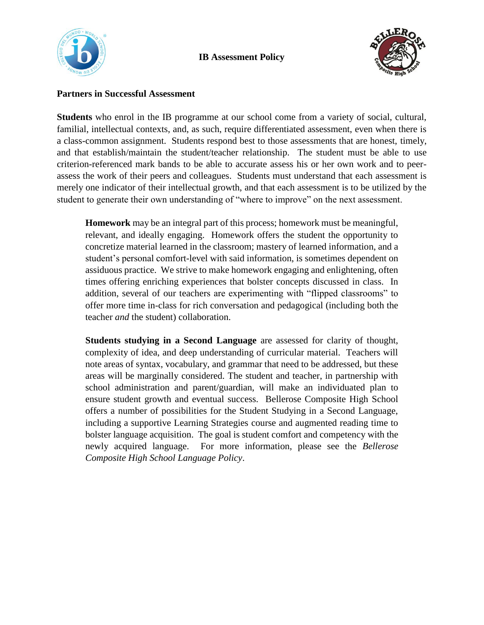



## **Partners in Successful Assessment**

**Students** who enrol in the IB programme at our school come from a variety of social, cultural, familial, intellectual contexts, and, as such, require differentiated assessment, even when there is a class-common assignment. Students respond best to those assessments that are honest, timely, and that establish/maintain the student/teacher relationship. The student must be able to use criterion-referenced mark bands to be able to accurate assess his or her own work and to peerassess the work of their peers and colleagues. Students must understand that each assessment is merely one indicator of their intellectual growth, and that each assessment is to be utilized by the student to generate their own understanding of "where to improve" on the next assessment.

**Homework** may be an integral part of this process; homework must be meaningful, relevant, and ideally engaging. Homework offers the student the opportunity to concretize material learned in the classroom; mastery of learned information, and a student's personal comfort-level with said information, is sometimes dependent on assiduous practice. We strive to make homework engaging and enlightening, often times offering enriching experiences that bolster concepts discussed in class. In addition, several of our teachers are experimenting with "flipped classrooms" to offer more time in-class for rich conversation and pedagogical (including both the teacher *and* the student) collaboration.

**Students studying in a Second Language** are assessed for clarity of thought, complexity of idea, and deep understanding of curricular material. Teachers will note areas of syntax, vocabulary, and grammar that need to be addressed, but these areas will be marginally considered. The student and teacher, in partnership with school administration and parent/guardian, will make an individuated plan to ensure student growth and eventual success. Bellerose Composite High School offers a number of possibilities for the Student Studying in a Second Language, including a supportive Learning Strategies course and augmented reading time to bolster language acquisition. The goal is student comfort and competency with the newly acquired language. For more information, please see the *Bellerose Composite High School Language Policy*.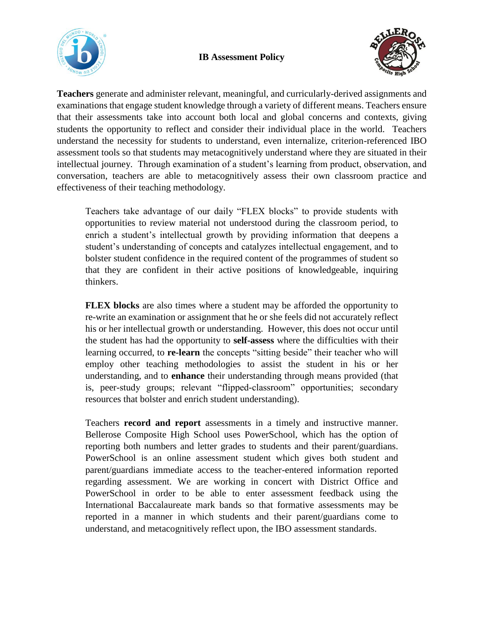





**Teachers** generate and administer relevant, meaningful, and curricularly-derived assignments and examinations that engage student knowledge through a variety of different means. Teachers ensure that their assessments take into account both local and global concerns and contexts, giving students the opportunity to reflect and consider their individual place in the world. Teachers understand the necessity for students to understand, even internalize, criterion-referenced IBO assessment tools so that students may metacognitively understand where they are situated in their intellectual journey. Through examination of a student's learning from product, observation, and conversation, teachers are able to metacognitively assess their own classroom practice and effectiveness of their teaching methodology.

Teachers take advantage of our daily "FLEX blocks" to provide students with opportunities to review material not understood during the classroom period, to enrich a student's intellectual growth by providing information that deepens a student's understanding of concepts and catalyzes intellectual engagement, and to bolster student confidence in the required content of the programmes of student so that they are confident in their active positions of knowledgeable, inquiring thinkers.

**FLEX blocks** are also times where a student may be afforded the opportunity to re-write an examination or assignment that he or she feels did not accurately reflect his or her intellectual growth or understanding. However, this does not occur until the student has had the opportunity to **self-assess** where the difficulties with their learning occurred, to **re-learn** the concepts "sitting beside" their teacher who will employ other teaching methodologies to assist the student in his or her understanding, and to **enhance** their understanding through means provided (that is, peer-study groups; relevant "flipped-classroom" opportunities; secondary resources that bolster and enrich student understanding).

Teachers **record and report** assessments in a timely and instructive manner. Bellerose Composite High School uses PowerSchool, which has the option of reporting both numbers and letter grades to students and their parent/guardians. PowerSchool is an online assessment student which gives both student and parent/guardians immediate access to the teacher-entered information reported regarding assessment. We are working in concert with District Office and PowerSchool in order to be able to enter assessment feedback using the International Baccalaureate mark bands so that formative assessments may be reported in a manner in which students and their parent/guardians come to understand, and metacognitively reflect upon, the IBO assessment standards.